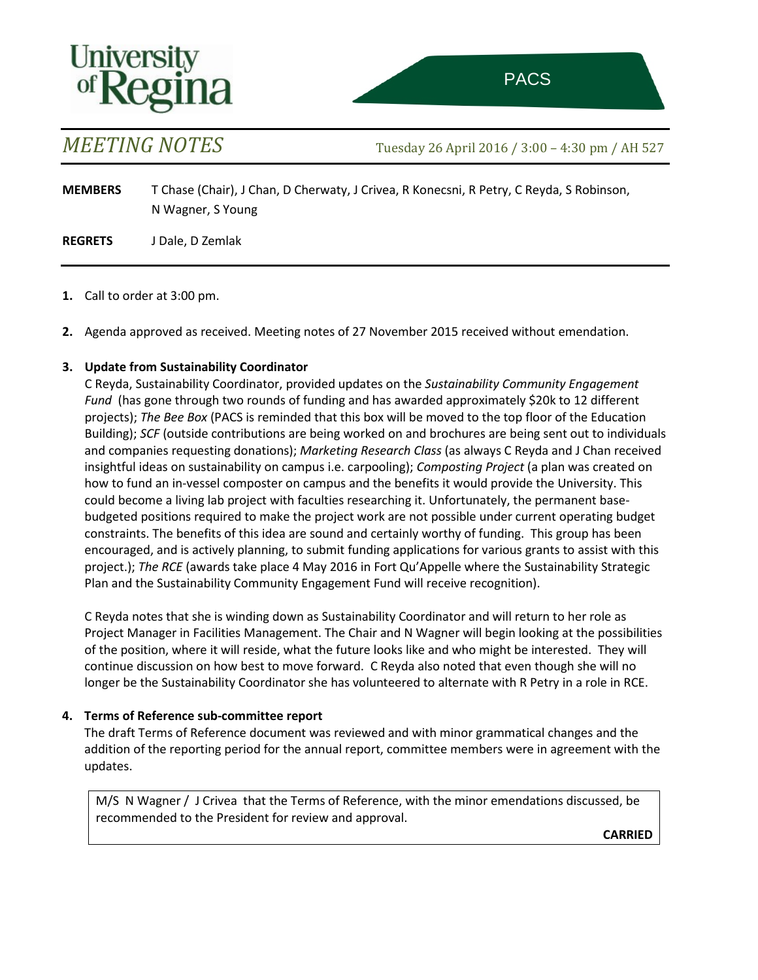



 $\mathcal{A}(\mathcal{A})$  (Adam  $\mathcal{A}(\mathcal{A})$  ) and  $\mathcal{A}(\mathcal{A})$  (Adam  $\mathcal{A}(\mathcal{A})$ 

## Agenda **Friday 27 May 2016 / 8:30 – 10:00 am / AH 527**

| AT/BY | <b>ITEM</b>  | <b>SUBJECT</b>                                                                                                                                           | <b>PAGES</b> | <b>LEAD</b>                                                |
|-------|--------------|----------------------------------------------------------------------------------------------------------------------------------------------------------|--------------|------------------------------------------------------------|
| 8:30  | 1            | Welcome and call to order                                                                                                                                |              |                                                            |
| 8:30  | $\mathbf{2}$ | Receipt of agenda and 26 April 2016 meeting notes                                                                                                        | $1 - 3$      | Chair                                                      |
| 8:35  | 3            | Update from the Sustainability Coordinator                                                                                                               |              | C Reyda                                                    |
| 8:45  | 4            | Geothermal Energy Demonstration Project: An Investment in<br>Innovation, Scientific Research, Green Infrastructure and<br>Sustainable Energy Development | $4 - 13$     | J Dale,<br>B Brunskill,<br>S Bend, A Henni,<br>& L Vigrass |
| 10:00 | 5            | Adiournment                                                                                                                                              |              |                                                            |



*PACS 2016-17 meeting dates 30 September /25 November / 27 January / 31 March / 26 May* 

*Agendas close the preceding Thursday at 4 pm Please send agenda items and supporting material to [Bryanna.Butz@uregina.ca.](mailto:Bryanna.Butz@uregina.ca)*